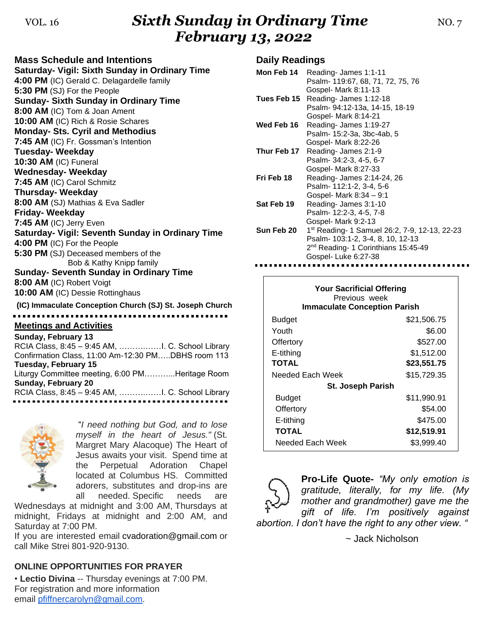## VOL. <sup>16</sup>*Sixth Sunday in Ordinary Time* NO. 7 *February 13, 2022*

| <b>Mass Schedule and Intentions</b>                      |
|----------------------------------------------------------|
| Saturday- Vigil: Sixth Sunday in Ordinary Time           |
| 4:00 PM (IC) Gerald C. Delagardelle family               |
| 5:30 PM (SJ) For the People                              |
| <b>Sunday- Sixth Sunday in Ordinary Time</b>             |
| 8:00 AM (IC) Tom & Joan Ament                            |
| 10:00 AM (IC) Rich & Rosie Schares                       |
| <b>Monday- Sts. Cyril and Methodius</b>                  |
| 7:45 AM (IC) Fr. Gossman's Intention                     |
| <b>Tuesday-Weekday</b>                                   |
| 10:30 AM (IC) Funeral                                    |
| <b>Wednesday- Weekday</b>                                |
| 7:45 AM (IC) Carol Schmitz                               |
| <b>Thursday-Weekday</b>                                  |
| 8:00 AM (SJ) Mathias & Eva Sadler                        |
| <b>Friday-Weekday</b>                                    |
| 7:45 AM (IC) Jerry Even                                  |
| Saturday- Vigil: Seventh Sunday in Ordinary Time         |
| 4:00 PM (IC) For the People                              |
| 5:30 PM (SJ) Deceased members of the                     |
| Bob & Kathy Knipp family                                 |
| <b>Sunday- Seventh Sunday in Ordinary Time</b>           |
| 8:00 AM (IC) Robert Voigt                                |
| 10:00 AM (IC) Dessie Rottinghaus                         |
| (IC) Immaculate Conception Church (SJ) St. Joseph Church |
|                                                          |
| <b>Meetings and Activities</b>                           |
| Sunday, February 13                                      |
| Confirmation Class, 11:00 Am-12:30 PMDBHS room 113       |
|                                                          |
| <b>Tuesday, February 15</b>                              |

Liturgy Committee meeting, 6:00 PM………...Heritage Room **Sunday, February 20** RCIA Class, 8:45 – 9:45 AM, ……….……I. C. School Library



"*I need nothing but God, and to lose myself in the heart of Jesus."* (St. Margret Mary Alacoque) The Heart of Jesus awaits your visit. Spend time at the Perpetual Adoration Chapel located at Columbus HS. Committed adorers, substitutes and drop-ins are all needed. Specific needs are

Wednesdays at midnight and 3:00 AM, Thursdays at midnight, Fridays at midnight and 2:00 AM, and Saturday at 7:00 PM.

If you are interested email [cvadoration@gmail.com](mailto:cvadoration@gmail.com) or call Mike Strei 801-920-9130.

#### **ONLINE OPPORTUNITIES FOR PRAYER**

• **Lectio Divina** -- Thursday evenings at 7:00 PM. For registration and more information email [pfiffnercarolyn@gmail.com.](mailto:pfiffnercarolyn@gmail.com)

### **Daily Readings**

| Mon Feb 14  | Reading-James 1:1-11<br>Psalm- 119:67, 68, 71, 72, 75, 76                                                                                                                |
|-------------|--------------------------------------------------------------------------------------------------------------------------------------------------------------------------|
| Tues Feb 15 | Gospel- Mark 8:11-13<br>Reading-James 1:12-18<br>Psalm- 94:12-13a, 14-15, 18-19<br>Gospel- Mark 8:14-21                                                                  |
| Wed Feb 16  | Reading-James 1:19-27<br>Psalm- 15:2-3a, 3bc-4ab, 5                                                                                                                      |
| Thur Feb 17 | Gospel- Mark 8:22-26<br>Reading-James 2:1-9<br>Psalm- 34:2-3, 4-5, 6-7                                                                                                   |
| Fri Feb 18  | Gospel- Mark 8:27-33<br>Reading- James 2:14-24, 26<br>Psalm-112:1-2, 3-4, 5-6                                                                                            |
| Sat Feb 19  | Gospel- Mark 8:34 - 9:1<br>Reading-James 3:1-10<br>Psalm- 12:2-3, 4-5, 7-8<br>Gospel- Mark 9:2-13                                                                        |
| Sun Feb 20  | 1 <sup>st</sup> Reading- 1 Samuel 26:2, 7-9, 12-13, 22-23<br>Psalm- 103:1-2, 3-4, 8, 10, 12-13<br>2 <sup>nd</sup> Reading- 1 Corinthians 15:45-49<br>Gospel-Luke 6:27-38 |

| <b>Your Sacrificial Offering</b><br>Previous week<br><b>Immaculate Conception Parish</b> |             |  |  |
|------------------------------------------------------------------------------------------|-------------|--|--|
| <b>Budget</b>                                                                            | \$21,506.75 |  |  |
| Youth                                                                                    | \$6.00      |  |  |
| Offertory                                                                                | \$527.00    |  |  |
| E-tithing                                                                                | \$1,512.00  |  |  |
| <b>TOTAL</b>                                                                             | \$23,551.75 |  |  |
| Needed Each Week                                                                         | \$15,729.35 |  |  |
| <b>St. Joseph Parish</b>                                                                 |             |  |  |
| <b>Budget</b>                                                                            | \$11,990.91 |  |  |
| Offertory                                                                                | \$54.00     |  |  |
| E-tithing                                                                                | \$475.00    |  |  |
| <b>TOTAL</b>                                                                             | \$12,519.91 |  |  |
| Needed Each Week                                                                         | \$3,999.40  |  |  |



**Pro-Life Quote-** *"My only emotion is gratitude, literally, for my life. (My mother and grandmother) gave me the gift of life. I'm positively against* 

*abortion. I don't have the right to any other view. "*

~ Jack Nicholson